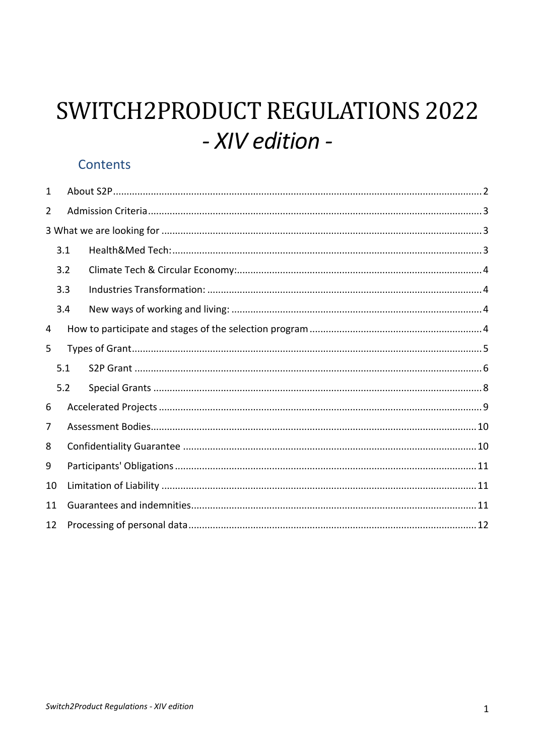# SWITCH2PRODUCT REGULATIONS 2022 - XIV edition -

# Contents

| 1              |     |  |  |
|----------------|-----|--|--|
| $\overline{2}$ |     |  |  |
|                |     |  |  |
|                | 3.1 |  |  |
|                | 3.2 |  |  |
|                | 3.3 |  |  |
|                | 3.4 |  |  |
| 4              |     |  |  |
| 5              |     |  |  |
|                | 5.1 |  |  |
|                | 5.2 |  |  |
| 6              |     |  |  |
| 7              |     |  |  |
| 8              |     |  |  |
| 9              |     |  |  |
| 10             |     |  |  |
| 11             |     |  |  |
| 12             |     |  |  |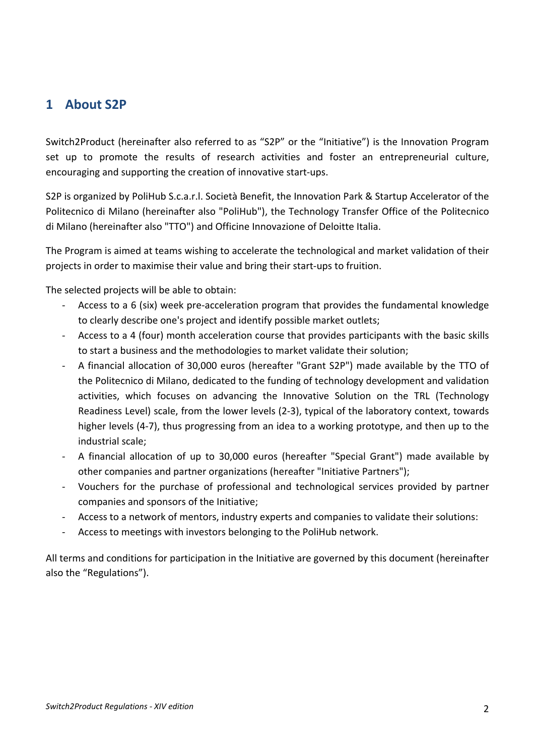## <span id="page-1-0"></span>**1 About S2P**

Switch2Product (hereinafter also referred to as "S2P" or the "Initiative") is the Innovation Program set up to promote the results of research activities and foster an entrepreneurial culture, encouraging and supporting the creation of innovative start-ups.

S2P is organized by PoliHub S.c.a.r.l. Società Benefit, the Innovation Park & Startup Accelerator of the Politecnico di Milano (hereinafter also "PoliHub"), the Technology Transfer Office of the Politecnico di Milano (hereinafter also "TTO") and Officine Innovazione of Deloitte Italia.

The Program is aimed at teams wishing to accelerate the technological and market validation of their projects in order to maximise their value and bring their start-ups to fruition.

The selected projects will be able to obtain:

- Access to a 6 (six) week pre-acceleration program that provides the fundamental knowledge to clearly describe one's project and identify possible market outlets;
- Access to a 4 (four) month acceleration course that provides participants with the basic skills to start a business and the methodologies to market validate their solution;
- A financial allocation of 30,000 euros (hereafter "Grant S2P") made available by the TTO of the Politecnico di Milano, dedicated to the funding of technology development and validation activities, which focuses on advancing the Innovative Solution on the TRL (Technology Readiness Level) scale, from the lower levels (2-3), typical of the laboratory context, towards higher levels (4-7), thus progressing from an idea to a working prototype, and then up to the industrial scale;
- A financial allocation of up to 30,000 euros (hereafter "Special Grant") made available by other companies and partner organizations (hereafter "Initiative Partners");
- Vouchers for the purchase of professional and technological services provided by partner companies and sponsors of the Initiative;
- Access to a network of mentors, industry experts and companies to validate their solutions:
- Access to meetings with investors belonging to the PoliHub network.

All terms and conditions for participation in the Initiative are governed by this document (hereinafter also the "Regulations").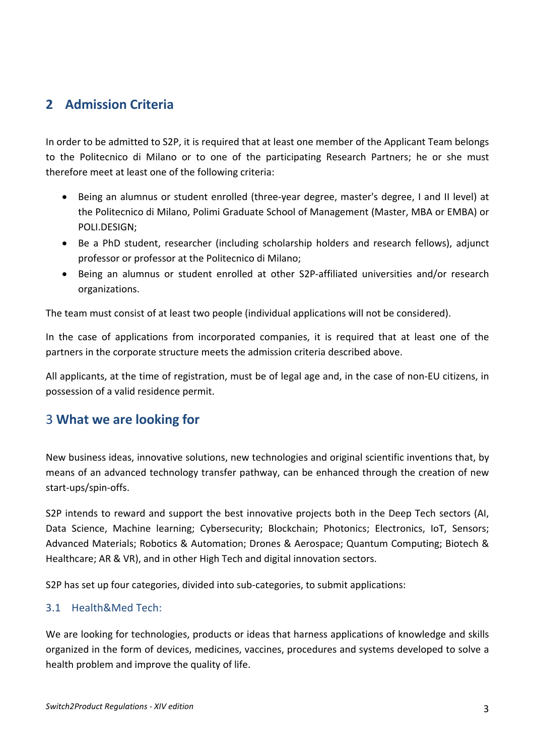## <span id="page-2-0"></span>**2 Admission Criteria**

In order to be admitted to S2P, it is required that at least one member of the Applicant Team belongs to the Politecnico di Milano or to one of the participating Research Partners; he or she must therefore meet at least one of the following criteria:

- Being an alumnus or student enrolled (three-year degree, master's degree, I and II level) at the Politecnico di Milano, Polimi Graduate School of Management (Master, MBA or EMBA) or POLI.DESIGN;
- Be a PhD student, researcher (including scholarship holders and research fellows), adjunct professor or professor at the Politecnico di Milano;
- Being an alumnus or student enrolled at other S2P-affiliated universities and/or research organizations.

The team must consist of at least two people (individual applications will not be considered).

In the case of applications from incorporated companies, it is required that at least one of the partners in the corporate structure meets the admission criteria described above.

All applicants, at the time of registration, must be of legal age and, in the case of non-EU citizens, in possession of a valid residence permit.

## <span id="page-2-1"></span>3 **What we are looking for**

New business ideas, innovative solutions, new technologies and original scientific inventions that, by means of an advanced technology transfer pathway, can be enhanced through the creation of new start-ups/spin-offs.

S2P intends to reward and support the best innovative projects both in the Deep Tech sectors (AI, Data Science, Machine learning; Cybersecurity; Blockchain; Photonics; Electronics, IoT, Sensors; Advanced Materials; Robotics & Automation; Drones & Aerospace; Quantum Computing; Biotech & Healthcare; AR & VR), and in other High Tech and digital innovation sectors.

S2P has set up four categories, divided into sub-categories, to submit applications:

#### <span id="page-2-2"></span>3.1 Health&Med Tech:

We are looking for technologies, products or ideas that harness applications of knowledge and skills organized in the form of devices, medicines, vaccines, procedures and systems developed to solve a health problem and improve the quality of life.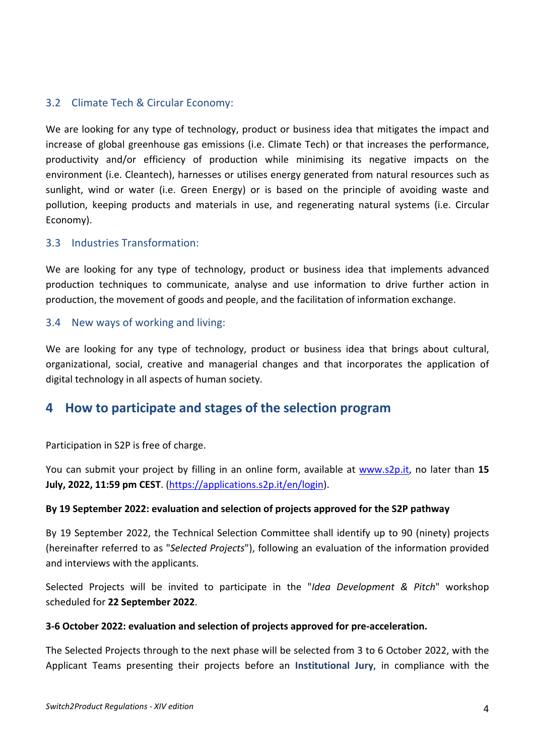#### <span id="page-3-0"></span>3.2 Climate Tech & Circular Economy:

We are looking for any type of technology, product or business idea that mitigates the impact and increase of global greenhouse gas emissions (i.e. Climate Tech) or that increases the performance, productivity and/or efficiency of production while minimising its negative impacts on the environment (i.e. Cleantech), harnesses or utilises energy generated from natural resources such as sunlight, wind or water (i.e. Green Energy) or is based on the principle of avoiding waste and pollution, keeping products and materials in use, and regenerating natural systems (i.e. Circular Economy).

#### <span id="page-3-1"></span>3.3 Industries Transformation:

We are looking for any type of technology, product or business idea that implements advanced production techniques to communicate, analyse and use information to drive further action in production, the movement of goods and people, and the facilitation of information exchange.

#### <span id="page-3-2"></span>3.4 New ways of working and living:

We are looking for any type of technology, product or business idea that brings about cultural, organizational, social, creative and managerial changes and that incorporates the application of digital technology in all aspects of human society.

## <span id="page-3-3"></span>**4 How to participate and stages of the selection program**

Participation in S2P is free of charge.

You can submit your project by filling in an online form, available at [www.s2p.it,](http://www.s2p.it/) no later than **15 July, 2022, 11:59 pm CEST**. [\(https://applications.s2p.it/en/login\)](https://applications.s2p.it/en/login).

#### **By 19 September 2022: evaluation and selection of projects approved for the S2P pathway**

By 19 September 2022, the Technical Selection Committee shall identify up to 90 (ninety) projects (hereinafter referred to as "*Selected Projects*"), following an evaluation of the information provided and interviews with the applicants.

Selected Projects will be invited to participate in the "*Idea Development & Pitch*" workshop scheduled for **22 September 2022**.

#### **3-6 October 2022: evaluation and selection of projects approved for pre-acceleration.**

The Selected Projects through to the next phase will be selected from 3 to 6 October 2022, with the Applicant Teams presenting their projects before an **Institutional Jury**, in compliance with the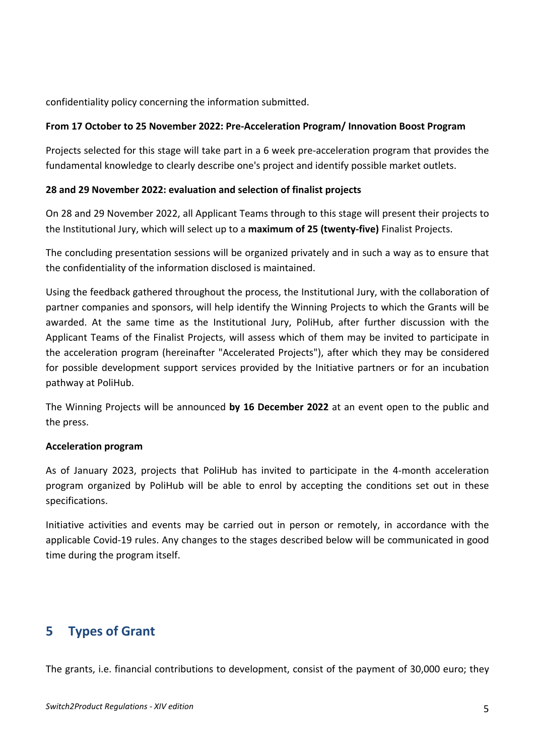confidentiality policy concerning the information submitted.

#### **From 17 October to 25 November 2022: Pre-Acceleration Program/ Innovation Boost Program**

Projects selected for this stage will take part in a 6 week pre-acceleration program that provides the fundamental knowledge to clearly describe one's project and identify possible market outlets.

#### **28 and 29 November 2022: evaluation and selection of finalist projects**

On 28 and 29 November 2022, all Applicant Teams through to this stage will present their projects to the Institutional Jury, which will select up to a **maximum of 25 (twenty-five)** Finalist Projects.

The concluding presentation sessions will be organized privately and in such a way as to ensure that the confidentiality of the information disclosed is maintained.

Using the feedback gathered throughout the process, the Institutional Jury, with the collaboration of partner companies and sponsors, will help identify the Winning Projects to which the Grants will be awarded. At the same time as the Institutional Jury, PoliHub, after further discussion with the Applicant Teams of the Finalist Projects, will assess which of them may be invited to participate in the acceleration program (hereinafter "Accelerated Projects"), after which they may be considered for possible development support services provided by the Initiative partners or for an incubation pathway at PoliHub.

The Winning Projects will be announced **by 16 December 2022** at an event open to the public and the press.

#### **Acceleration program**

As of January 2023, projects that PoliHub has invited to participate in the 4-month acceleration program organized by PoliHub will be able to enrol by accepting the conditions set out in these specifications.

Initiative activities and events may be carried out in person or remotely, in accordance with the applicable Covid-19 rules. Any changes to the stages described below will be communicated in good time during the program itself.

# <span id="page-4-0"></span>**5 Types of Grant**

The grants, i.e. financial contributions to development, consist of the payment of 30,000 euro; they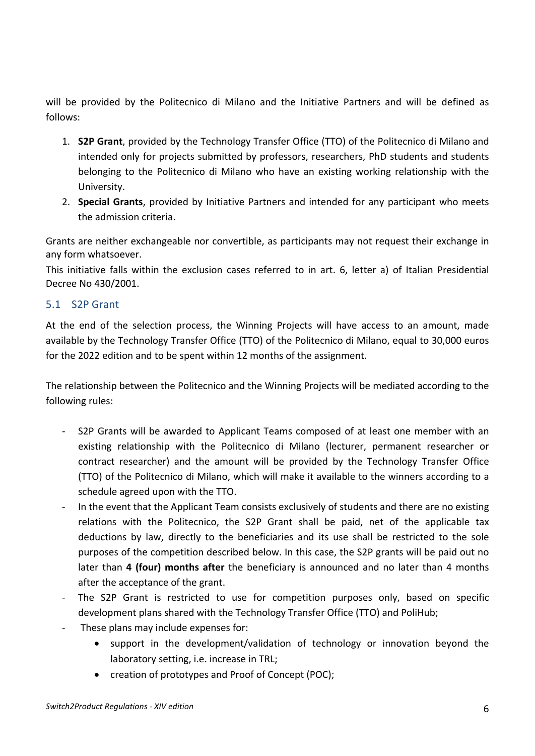will be provided by the Politecnico di Milano and the Initiative Partners and will be defined as follows:

- 1. **S2P Grant**, provided by the Technology Transfer Office (TTO) of the Politecnico di Milano and intended only for projects submitted by professors, researchers, PhD students and students belonging to the Politecnico di Milano who have an existing working relationship with the University.
- 2. **Special Grants**, provided by Initiative Partners and intended for any participant who meets the admission criteria.

Grants are neither exchangeable nor convertible, as participants may not request their exchange in any form whatsoever.

This initiative falls within the exclusion cases referred to in art. 6, letter a) of Italian Presidential Decree No 430/2001.

#### <span id="page-5-0"></span>5.1 S2P Grant

At the end of the selection process, the Winning Projects will have access to an amount, made available by the Technology Transfer Office (TTO) of the Politecnico di Milano, equal to 30,000 euros for the 2022 edition and to be spent within 12 months of the assignment.

The relationship between the Politecnico and the Winning Projects will be mediated according to the following rules:

- S2P Grants will be awarded to Applicant Teams composed of at least one member with an existing relationship with the Politecnico di Milano (lecturer, permanent researcher or contract researcher) and the amount will be provided by the Technology Transfer Office (TTO) of the Politecnico di Milano, which will make it available to the winners according to a schedule agreed upon with the TTO.
- In the event that the Applicant Team consists exclusively of students and there are no existing relations with the Politecnico, the S2P Grant shall be paid, net of the applicable tax deductions by law, directly to the beneficiaries and its use shall be restricted to the sole purposes of the competition described below. In this case, the S2P grants will be paid out no later than **4 (four) months after** the beneficiary is announced and no later than 4 months after the acceptance of the grant.
- The S2P Grant is restricted to use for competition purposes only, based on specific development plans shared with the Technology Transfer Office (TTO) and PoliHub;
- These plans may include expenses for:
	- support in the development/validation of technology or innovation beyond the laboratory setting, i.e. increase in TRL;
	- creation of prototypes and Proof of Concept (POC);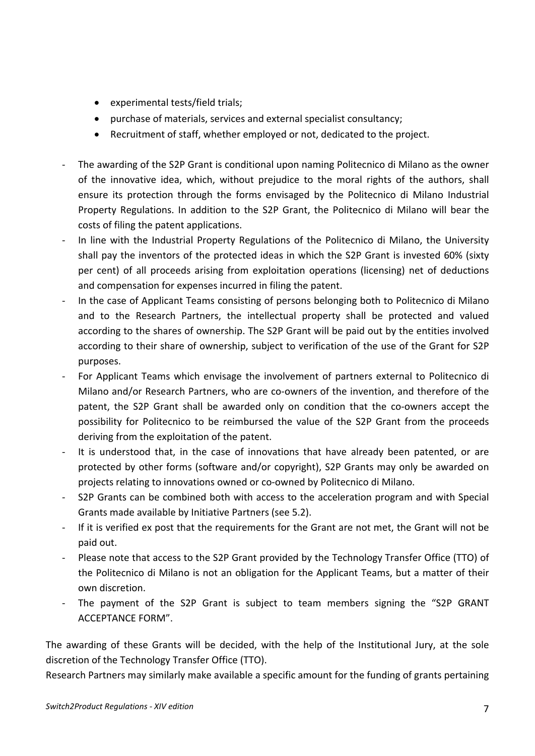- experimental tests/field trials;
- purchase of materials, services and external specialist consultancy;
- Recruitment of staff, whether employed or not, dedicated to the project.
- The awarding of the S2P Grant is conditional upon naming Politecnico di Milano as the owner of the innovative idea, which, without prejudice to the moral rights of the authors, shall ensure its protection through the forms envisaged by the Politecnico di Milano Industrial Property Regulations. In addition to the S2P Grant, the Politecnico di Milano will bear the costs of filing the patent applications.
- In line with the Industrial Property Regulations of the Politecnico di Milano, the University shall pay the inventors of the protected ideas in which the S2P Grant is invested 60% (sixty per cent) of all proceeds arising from exploitation operations (licensing) net of deductions and compensation for expenses incurred in filing the patent.
- In the case of Applicant Teams consisting of persons belonging both to Politecnico di Milano and to the Research Partners, the intellectual property shall be protected and valued according to the shares of ownership. The S2P Grant will be paid out by the entities involved according to their share of ownership, subject to verification of the use of the Grant for S2P purposes.
- For Applicant Teams which envisage the involvement of partners external to Politecnico di Milano and/or Research Partners, who are co-owners of the invention, and therefore of the patent, the S2P Grant shall be awarded only on condition that the co-owners accept the possibility for Politecnico to be reimbursed the value of the S2P Grant from the proceeds deriving from the exploitation of the patent.
- It is understood that, in the case of innovations that have already been patented, or are protected by other forms (software and/or copyright), S2P Grants may only be awarded on projects relating to innovations owned or co-owned by Politecnico di Milano.
- S2P Grants can be combined both with access to the acceleration program and with Special Grants made available by Initiative Partners (see 5.2).
- If it is verified ex post that the requirements for the Grant are not met, the Grant will not be paid out.
- Please note that access to the S2P Grant provided by the Technology Transfer Office (TTO) of the Politecnico di Milano is not an obligation for the Applicant Teams, but a matter of their own discretion.
- The payment of the S2P Grant is subject to team members signing the "S2P GRANT ACCEPTANCE FORM".

The awarding of these Grants will be decided, with the help of the Institutional Jury, at the sole discretion of the Technology Transfer Office (TTO).

Research Partners may similarly make available a specific amount for the funding of grants pertaining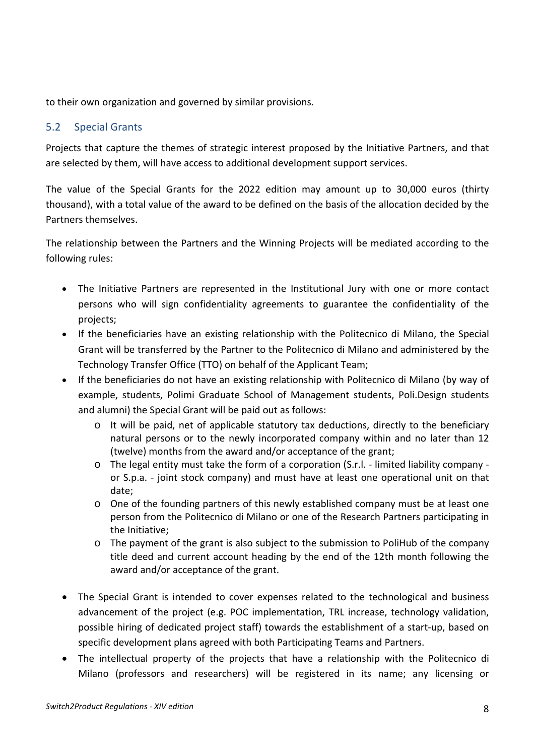to their own organization and governed by similar provisions.

#### <span id="page-7-0"></span>5.2 Special Grants

Projects that capture the themes of strategic interest proposed by the Initiative Partners, and that are selected by them, will have access to additional development support services.

The value of the Special Grants for the 2022 edition may amount up to 30,000 euros (thirty thousand), with a total value of the award to be defined on the basis of the allocation decided by the Partners themselves.

The relationship between the Partners and the Winning Projects will be mediated according to the following rules:

- The Initiative Partners are represented in the Institutional Jury with one or more contact persons who will sign confidentiality agreements to guarantee the confidentiality of the projects;
- If the beneficiaries have an existing relationship with the Politecnico di Milano, the Special Grant will be transferred by the Partner to the Politecnico di Milano and administered by the Technology Transfer Office (TTO) on behalf of the Applicant Team;
- If the beneficiaries do not have an existing relationship with Politecnico di Milano (by way of example, students, Polimi Graduate School of Management students, Poli.Design students and alumni) the Special Grant will be paid out as follows:
	- $\circ$  It will be paid, net of applicable statutory tax deductions, directly to the beneficiary natural persons or to the newly incorporated company within and no later than 12 (twelve) months from the award and/or acceptance of the grant;
	- o The legal entity must take the form of a corporation (S.r.l. limited liability company or S.p.a. - joint stock company) and must have at least one operational unit on that date;
	- o One of the founding partners of this newly established company must be at least one person from the Politecnico di Milano or one of the Research Partners participating in the Initiative;
	- $\circ$  The payment of the grant is also subject to the submission to PoliHub of the company title deed and current account heading by the end of the 12th month following the award and/or acceptance of the grant.
- The Special Grant is intended to cover expenses related to the technological and business advancement of the project (e.g. POC implementation, TRL increase, technology validation, possible hiring of dedicated project staff) towards the establishment of a start-up, based on specific development plans agreed with both Participating Teams and Partners.
- The intellectual property of the projects that have a relationship with the Politecnico di Milano (professors and researchers) will be registered in its name; any licensing or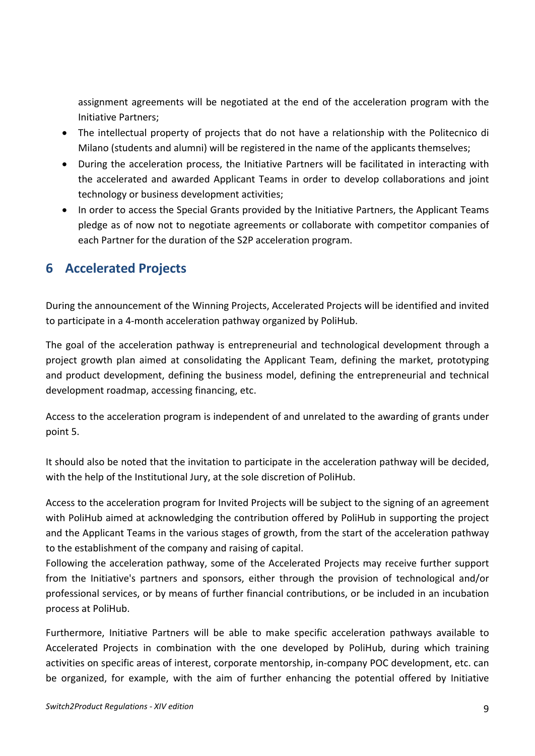assignment agreements will be negotiated at the end of the acceleration program with the Initiative Partners;

- The intellectual property of projects that do not have a relationship with the Politecnico di Milano (students and alumni) will be registered in the name of the applicants themselves;
- During the acceleration process, the Initiative Partners will be facilitated in interacting with the accelerated and awarded Applicant Teams in order to develop collaborations and joint technology or business development activities;
- In order to access the Special Grants provided by the Initiative Partners, the Applicant Teams pledge as of now not to negotiate agreements or collaborate with competitor companies of each Partner for the duration of the S2P acceleration program.

# <span id="page-8-0"></span>**6 Accelerated Projects**

During the announcement of the Winning Projects, Accelerated Projects will be identified and invited to participate in a 4-month acceleration pathway organized by PoliHub.

The goal of the acceleration pathway is entrepreneurial and technological development through a project growth plan aimed at consolidating the Applicant Team, defining the market, prototyping and product development, defining the business model, defining the entrepreneurial and technical development roadmap, accessing financing, etc.

Access to the acceleration program is independent of and unrelated to the awarding of grants under point 5.

It should also be noted that the invitation to participate in the acceleration pathway will be decided, with the help of the Institutional Jury, at the sole discretion of PoliHub.

Access to the acceleration program for Invited Projects will be subject to the signing of an agreement with PoliHub aimed at acknowledging the contribution offered by PoliHub in supporting the project and the Applicant Teams in the various stages of growth, from the start of the acceleration pathway to the establishment of the company and raising of capital.

Following the acceleration pathway, some of the Accelerated Projects may receive further support from the Initiative's partners and sponsors, either through the provision of technological and/or professional services, or by means of further financial contributions, or be included in an incubation process at PoliHub.

Furthermore, Initiative Partners will be able to make specific acceleration pathways available to Accelerated Projects in combination with the one developed by PoliHub, during which training activities on specific areas of interest, corporate mentorship, in-company POC development, etc. can be organized, for example, with the aim of further enhancing the potential offered by Initiative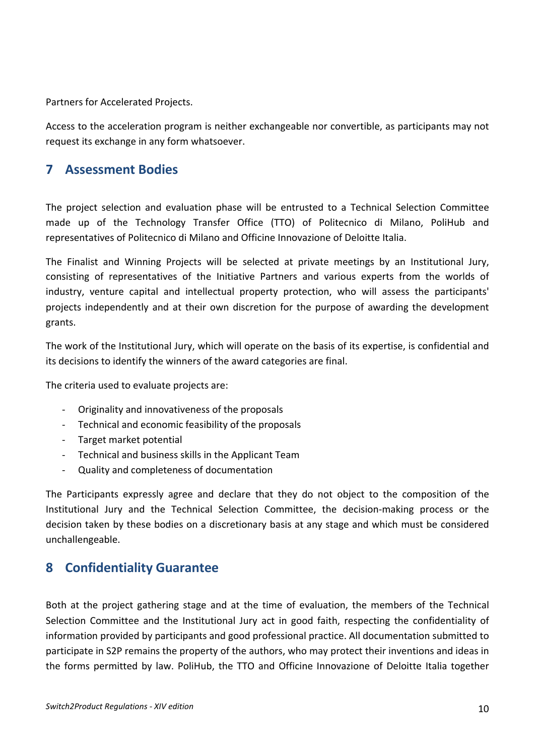Partners for Accelerated Projects.

Access to the acceleration program is neither exchangeable nor convertible, as participants may not request its exchange in any form whatsoever.

## <span id="page-9-0"></span>**7 Assessment Bodies**

The project selection and evaluation phase will be entrusted to a Technical Selection Committee made up of the Technology Transfer Office (TTO) of Politecnico di Milano, PoliHub and representatives of Politecnico di Milano and Officine Innovazione of Deloitte Italia.

The Finalist and Winning Projects will be selected at private meetings by an Institutional Jury, consisting of representatives of the Initiative Partners and various experts from the worlds of industry, venture capital and intellectual property protection, who will assess the participants' projects independently and at their own discretion for the purpose of awarding the development grants.

The work of the Institutional Jury, which will operate on the basis of its expertise, is confidential and its decisions to identify the winners of the award categories are final.

The criteria used to evaluate projects are:

- Originality and innovativeness of the proposals
- Technical and economic feasibility of the proposals
- Target market potential
- Technical and business skills in the Applicant Team
- Quality and completeness of documentation

The Participants expressly agree and declare that they do not object to the composition of the Institutional Jury and the Technical Selection Committee, the decision-making process or the decision taken by these bodies on a discretionary basis at any stage and which must be considered unchallengeable.

## <span id="page-9-1"></span>**8 Confidentiality Guarantee**

Both at the project gathering stage and at the time of evaluation, the members of the Technical Selection Committee and the Institutional Jury act in good faith, respecting the confidentiality of information provided by participants and good professional practice. All documentation submitted to participate in S2P remains the property of the authors, who may protect their inventions and ideas in the forms permitted by law. PoliHub, the TTO and Officine Innovazione of Deloitte Italia together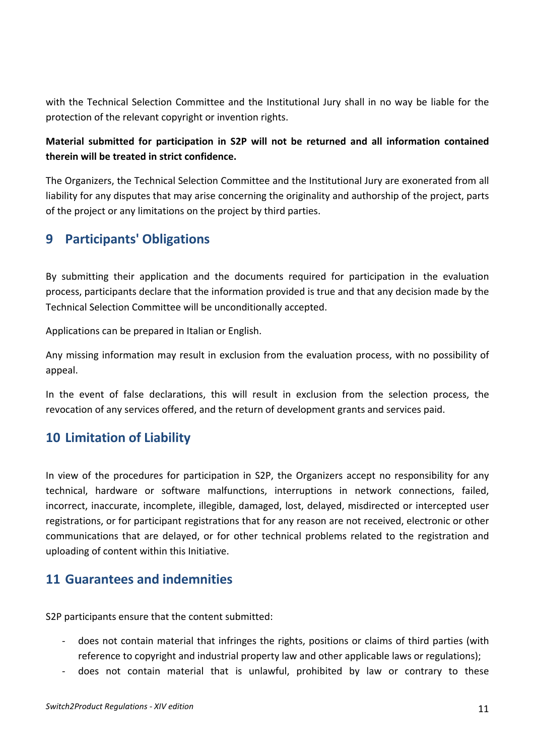with the Technical Selection Committee and the Institutional Jury shall in no way be liable for the protection of the relevant copyright or invention rights.

### **Material submitted for participation in S2P will not be returned and all information contained therein will be treated in strict confidence.**

The Organizers, the Technical Selection Committee and the Institutional Jury are exonerated from all liability for any disputes that may arise concerning the originality and authorship of the project, parts of the project or any limitations on the project by third parties.

## <span id="page-10-0"></span>**9 Participants' Obligations**

By submitting their application and the documents required for participation in the evaluation process, participants declare that the information provided is true and that any decision made by the Technical Selection Committee will be unconditionally accepted.

Applications can be prepared in Italian or English.

Any missing information may result in exclusion from the evaluation process, with no possibility of appeal.

In the event of false declarations, this will result in exclusion from the selection process, the revocation of any services offered, and the return of development grants and services paid.

# <span id="page-10-1"></span>**10 Limitation of Liability**

In view of the procedures for participation in S2P, the Organizers accept no responsibility for any technical, hardware or software malfunctions, interruptions in network connections, failed, incorrect, inaccurate, incomplete, illegible, damaged, lost, delayed, misdirected or intercepted user registrations, or for participant registrations that for any reason are not received, electronic or other communications that are delayed, or for other technical problems related to the registration and uploading of content within this Initiative.

## <span id="page-10-2"></span>**11 Guarantees and indemnities**

S2P participants ensure that the content submitted:

- does not contain material that infringes the rights, positions or claims of third parties (with reference to copyright and industrial property law and other applicable laws or regulations);
- does not contain material that is unlawful, prohibited by law or contrary to these